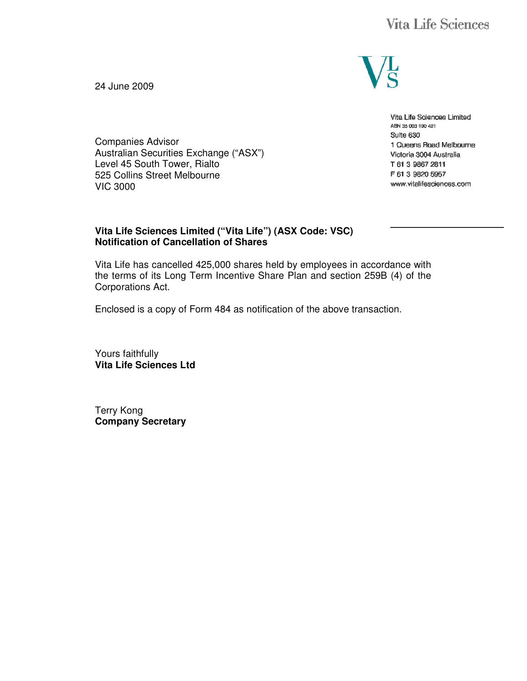

Vita Life Sciences Limited ABN 35 003 190 421 Suite 630 1 Queens Road Melbourne Victoria 3004 Australia T 61 3 9867 2811 F 61 3 9820 5957 www.vitalifesciences.com

24 June 2009

Companies Advisor Australian Securities Exchange ("ASX") Level 45 South Tower, Rialto 525 Collins Street Melbourne VIC 3000

### **Vita Life Sciences Limited ("Vita Life") (ASX Code: VSC) Notification of Cancellation of Shares**

Vita Life has cancelled 425,000 shares held by employees in accordance with the terms of its Long Term Incentive Share Plan and section 259B (4) of the Corporations Act.

Enclosed is a copy of Form 484 as notification of the above transaction.

Yours faithfully **Vita Life Sciences Ltd** 

Terry Kong **Company Secretary**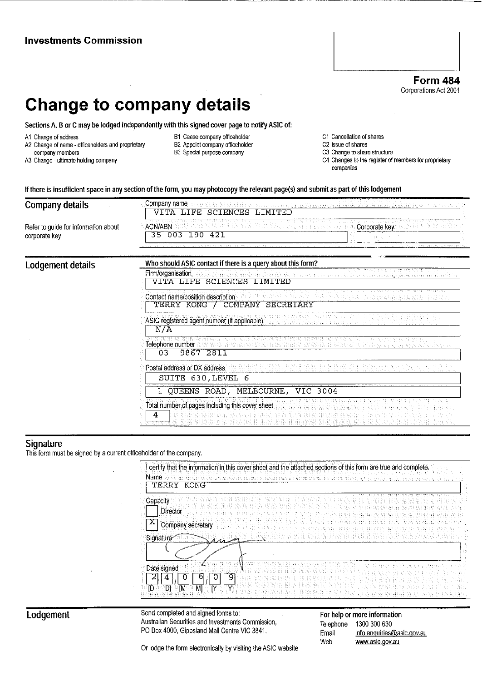|                                                                                                                                      |                                                                                                                                                                                                                                          | <b>Form 484</b><br>Corporations Act 2001                                                                                                              |
|--------------------------------------------------------------------------------------------------------------------------------------|------------------------------------------------------------------------------------------------------------------------------------------------------------------------------------------------------------------------------------------|-------------------------------------------------------------------------------------------------------------------------------------------------------|
|                                                                                                                                      | <b>Change to company details</b>                                                                                                                                                                                                         |                                                                                                                                                       |
|                                                                                                                                      | Sections A, B or C may be lodged independently with this signed cover page to notify ASIC of:                                                                                                                                            |                                                                                                                                                       |
| A1 Change of address<br>A2 Change of name - officeholders and proprietary<br>company members<br>A3 Change - ultimate holding company | B1 Cease company officeholder<br>B2 Appoint company officeholder<br>B3 Special purpose company<br>If there is insufficient space in any section of the form, you may photocopy the relevant page(s) and submit as part of this lodgement | C1 Cancellation of shares<br>C2 Issue of shares<br>C3 Change to share structure<br>C4 Changes to the register of members for proprietary<br>companies |
| <b>Company details</b>                                                                                                               | Company name<br><b>TTFE</b><br><b>SCIENCES</b><br>VTTA<br>LIMITED                                                                                                                                                                        |                                                                                                                                                       |
| Refer to guide for information about<br>corporate key                                                                                | <b>ACN/ABN</b><br>003<br>190<br>421<br>35                                                                                                                                                                                                | Corporate key                                                                                                                                         |
| Lodgement details                                                                                                                    | Who should ASIC contact if there is a query about this form?<br>Firm/organisation<br>VITA LIPP CAIPMAPC<br>TMTTED                                                                                                                        |                                                                                                                                                       |

| Contact name/position description<br>TERRY KONG / COMPANY SECRETARY |
|---------------------------------------------------------------------|
| ASIC registered agent number (if applicable)<br>$N/\Lambda$         |
| Telephone number<br>$03 - 98672811$                                 |
| Postal address or DX address.<br>SUITE 630, LEVEL 6                 |
| 1 QUEENS ROAD, MELBOURNE, VIC 3004                                  |

 $\mathcal{L}(\mathcal{L}(\mathcal{L}(\mathcal{L}(\mathcal{L}(\mathcal{L}(\mathcal{L}(\mathcal{L}(\mathcal{L}(\mathcal{L}(\mathcal{L}(\mathcal{L}(\mathcal{L}(\mathcal{L}(\mathcal{L}(\mathcal{L}(\mathcal{L}(\mathcal{L}(\mathcal{L}(\mathcal{L}(\mathcal{L}(\mathcal{L}(\mathcal{L}(\mathcal{L}(\mathcal{L}(\mathcal{L}(\mathcal{L}(\mathcal{L}(\mathcal{L}(\mathcal{L}(\mathcal{L}(\mathcal{L}(\mathcal{L}(\mathcal{L}(\mathcal{L}(\mathcal{L}(\mathcal{$ 

**Investments Commission** 

Signature<br>This form must be signed by a current officeholder of the company.

| TERRY<br>KONG               |  |  |  |  |  |
|-----------------------------|--|--|--|--|--|
| Capacity<br><b>Director</b> |  |  |  |  |  |
| Company secretary           |  |  |  |  |  |
| Signature<br>a              |  |  |  |  |  |
|                             |  |  |  |  |  |
| Date signed                 |  |  |  |  |  |

## Lodgement

Send completed and signed forms to: Australian Securities and Investments Commission, PO Box 4000, Gippsland Mail Centre VIC 3841.

For help or more information Telephone 1300 300 630 Email info.enquiries@asic.gov.au Web www.asic.gov.au

Or lodge the form electronically by visiting the ASIC website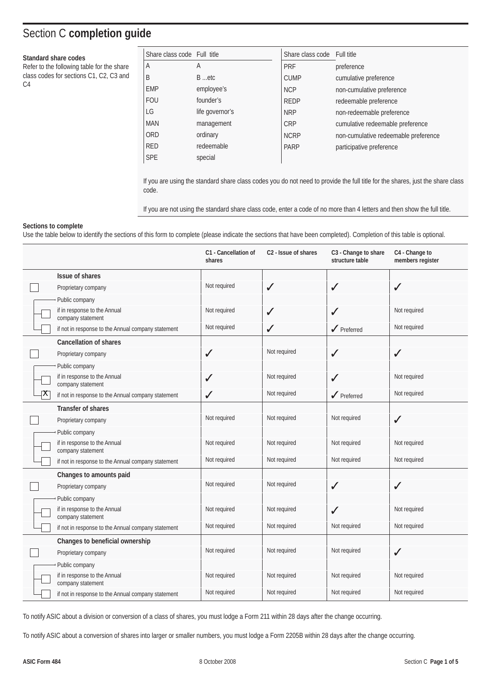# Section C **completion guide**

#### **Standard share codes**

Refer to the following table for the share class codes for sections C1, C2, C3 and  $C<sub>4</sub>$ 

| Share class code Full title |                 | Share class code Full title |                                      |
|-----------------------------|-----------------|-----------------------------|--------------------------------------|
| A                           | A               | <b>PRF</b>                  | preference                           |
| B                           | B etc           | <b>CUMP</b>                 | cumulative preference                |
| <b>EMP</b>                  | employee's      | <b>NCP</b>                  | non-cumulative preference            |
| <b>FOU</b>                  | founder's       | <b>REDP</b>                 | redeemable preference                |
| LG                          | life governor's | <b>NRP</b>                  | non-redeemable preference            |
| <b>MAN</b>                  | management      | <b>CRP</b>                  | cumulative redeemable preference     |
| <b>ORD</b>                  | ordinary        | <b>NCRP</b>                 | non-cumulative redeemable preference |
| <b>RED</b>                  | redeemable      | <b>PARP</b>                 | participative preference             |
| <b>SPE</b>                  | special         |                             |                                      |

If you are using the standard share class codes you do not need to provide the full title for the shares, just the share class code.

If you are not using the standard share class code, enter a code of no more than 4 letters and then show the full title.

#### **Sections to complete**

Use the table below to identify the sections of this form to complete (please indicate the sections that have been completed). Completion of this table is optional.

|   |                                                    | C1 - Cancellation of<br>shares | C <sub>2</sub> - Issue of shares | C3 - Change to share<br>structure table | C4 - Change to<br>members register |
|---|----------------------------------------------------|--------------------------------|----------------------------------|-----------------------------------------|------------------------------------|
|   | Issue of shares                                    |                                |                                  |                                         |                                    |
|   | Proprietary company                                | Not required                   | ✓                                | $\checkmark$                            | ✓                                  |
|   | Public company                                     |                                |                                  |                                         |                                    |
|   | if in response to the Annual<br>company statement  | Not required                   | ✓                                | ✓                                       | Not required                       |
|   | if not in response to the Annual company statement | Not required                   | ✓                                | $\sqrt{\phantom{1}}$ Preferred          | Not required                       |
|   | <b>Cancellation of shares</b>                      |                                |                                  |                                         |                                    |
|   | Proprietary company                                | $\checkmark$                   | Not required                     | $\checkmark$                            | ✓                                  |
|   | Public company                                     |                                |                                  |                                         |                                    |
|   | if in response to the Annual<br>company statement  | $\checkmark$                   | Not required                     | $\checkmark$                            | Not required                       |
| Χ | if not in response to the Annual company statement | $\checkmark$                   | Not required                     | $\sqrt{\phantom{a}}$ Preferred          | Not required                       |
|   | <b>Transfer of shares</b>                          |                                |                                  |                                         |                                    |
|   | Proprietary company                                | Not required                   | Not required                     | Not required                            | ✓                                  |
|   | Public company                                     |                                |                                  |                                         |                                    |
|   | if in response to the Annual<br>company statement  | Not required                   | Not required                     | Not required                            | Not required                       |
|   | if not in response to the Annual company statement | Not required                   | Not required                     | Not required                            | Not required                       |
|   | Changes to amounts paid                            |                                |                                  |                                         |                                    |
|   | Proprietary company                                | Not required                   | Not required                     | $\checkmark$                            | ✓                                  |
|   | Public company                                     |                                |                                  |                                         |                                    |
|   | if in response to the Annual<br>company statement  | Not required                   | Not required                     | $\checkmark$                            | Not required                       |
|   | if not in response to the Annual company statement | Not required                   | Not required                     | Not required                            | Not required                       |
|   | Changes to beneficial ownership                    |                                |                                  |                                         |                                    |
|   | Proprietary company                                | Not required                   | Not required                     | Not required                            | $\checkmark$                       |
|   | Public company                                     |                                |                                  |                                         |                                    |
|   | if in response to the Annual<br>company statement  | Not required                   | Not required                     | Not required                            | Not required                       |
|   | if not in response to the Annual company statement | Not required                   | Not required                     | Not required                            | Not required                       |

To notify ASIC about a division or conversion of a class of shares, you must lodge a Form 211 within 28 days after the change occurring.

To notify ASIC about a conversion of shares into larger or smaller numbers, you must lodge a Form 2205B within 28 days after the change occurring.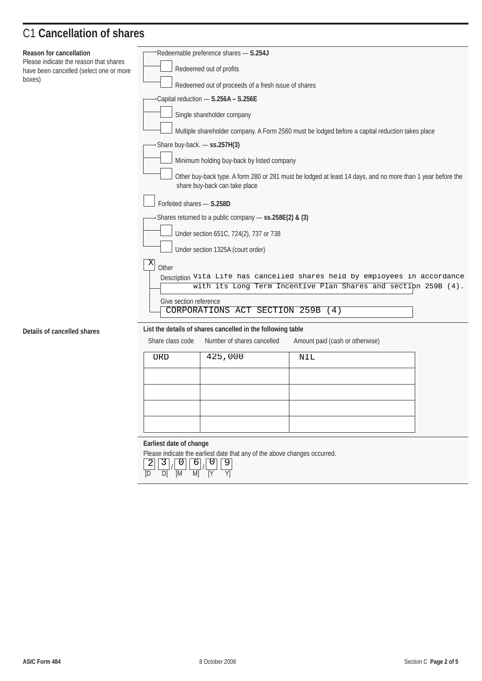# C1 **Cancellation of shares**

| Reason for cancellation                                                           | Redeemable preference shares - S.254J                                                                                                            |  |  |  |  |  |
|-----------------------------------------------------------------------------------|--------------------------------------------------------------------------------------------------------------------------------------------------|--|--|--|--|--|
| Please indicate the reason that shares<br>have been cancelled (select one or more | Redeemed out of profits                                                                                                                          |  |  |  |  |  |
| boxes)                                                                            | Redeemed out of proceeds of a fresh issue of shares                                                                                              |  |  |  |  |  |
|                                                                                   | Capital reduction - S.256A - S.256E                                                                                                              |  |  |  |  |  |
|                                                                                   | Single shareholder company                                                                                                                       |  |  |  |  |  |
|                                                                                   | Multiple shareholder company. A Form 2560 must be lodged before a capital reduction takes place                                                  |  |  |  |  |  |
|                                                                                   | Share buy-back. - ss.257H(3)                                                                                                                     |  |  |  |  |  |
|                                                                                   | Minimum holding buy-back by listed company                                                                                                       |  |  |  |  |  |
|                                                                                   |                                                                                                                                                  |  |  |  |  |  |
|                                                                                   | Other buy-back type. A form 280 or 281 must be lodged at least 14 days, and no more than 1 year before the<br>share buy-back can take place      |  |  |  |  |  |
| Forfeited shares - S.258D                                                         |                                                                                                                                                  |  |  |  |  |  |
|                                                                                   | Shares returned to a public company - ss.258E(2) & (3)                                                                                           |  |  |  |  |  |
|                                                                                   | Under section 651C, 724(2), 737 or 738                                                                                                           |  |  |  |  |  |
|                                                                                   | Under section 1325A (court order)                                                                                                                |  |  |  |  |  |
|                                                                                   | X<br>Other                                                                                                                                       |  |  |  |  |  |
|                                                                                   | Description Vita Life has cancelled shares held by employees in accordance                                                                       |  |  |  |  |  |
|                                                                                   | with its Long Term Incentive Plan Shares and section 259B (4).                                                                                   |  |  |  |  |  |
|                                                                                   | Give section reference<br>CORPORATIONS ACT SECTION 259B (4)                                                                                      |  |  |  |  |  |
|                                                                                   |                                                                                                                                                  |  |  |  |  |  |
| Details of cancelled shares                                                       | List the details of shares cancelled in the following table<br>Share class code<br>Number of shares cancelled<br>Amount paid (cash or otherwise) |  |  |  |  |  |
|                                                                                   |                                                                                                                                                  |  |  |  |  |  |
|                                                                                   | 425,000<br>ORD<br>NIL                                                                                                                            |  |  |  |  |  |
|                                                                                   |                                                                                                                                                  |  |  |  |  |  |
|                                                                                   |                                                                                                                                                  |  |  |  |  |  |
|                                                                                   |                                                                                                                                                  |  |  |  |  |  |
|                                                                                   |                                                                                                                                                  |  |  |  |  |  |
|                                                                                   |                                                                                                                                                  |  |  |  |  |  |
|                                                                                   | Earliest date of change<br>Please indicate the earliest date that any of the above changes occurred.                                             |  |  |  |  |  |
|                                                                                   | $\overline{9}$<br>$6 \mid$<br>0<br>$\overline{0}$<br>3                                                                                           |  |  |  |  |  |
|                                                                                   | [M]<br>M<br>Yl<br>ſD<br>D)                                                                                                                       |  |  |  |  |  |